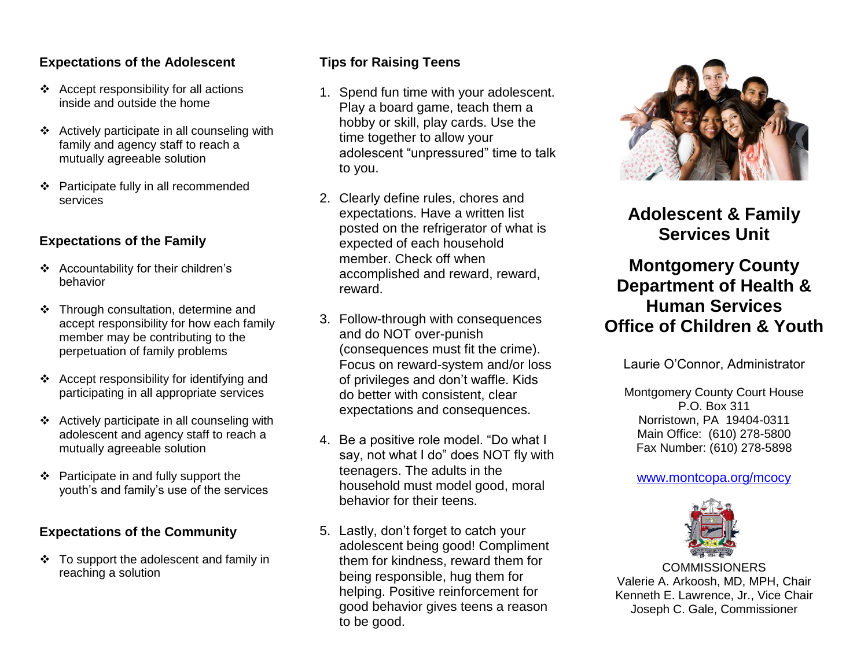## **Expectations of the Adolescent**

- $\triangleleft$  Accept responsibility for all actions inside and outside the home
- $\triangle$  Actively participate in all counseling with family and agency staff to reach a mutually agreeable solution
- Participate fully in all recommended services

# **Expectations of the Family**

- Accountability for their children's behavior
- Through consultation, determine and accept responsibility for how each family member may be contributing to the perpetuation of family problems
- Accept responsibility for identifying and participating in all appropriate services
- $\triangleleft$  Actively participate in all counseling with adolescent and agency staff to reach a mutually agreeable solution
- $\div$  Participate in and fully support the youth's and family's use of the services

# **Expectations of the Community**

 To support the adolescent and family in reaching a solution

# **Tips for Raising Teens**

- 1. Spend fun time with your adolescent. Play a board game, teach them a hobby or skill, play cards. Use the time together to allow your adolescent "unpressured" time to talk to you.
- 2. Clearly define rules, chores and expectations. Have a written list posted on the refrigerator of what is expected of each household member. Check off when accomplished and reward, reward, reward.
- 3. Follow-through with consequences and do NOT over-punish (consequences must fit the crime). Focus on reward-system and/or loss of privileges and don't waffle. Kids do better with consistent, clear expectations and consequences.
- 4. Be a positive role model. "Do what I say, not what I do" does NOT fly with teenagers. The adults in the household must model good, moral behavior for their teens.
- 5. Lastly, don't forget to catch your adolescent being good! Compliment them for kindness, reward them for being responsible, hug them for helping. Positive reinforcement for good behavior gives teens a reason to be good.



**Adolescent & Family Services Unit**

# **Montgomery County Department of Health & Human Services Office of Children & Youth**

Laurie O'Connor, Administrator

Montgomery County Court House P.O. Box 311 Norristown, PA 19404-0311 Main Office: (610) 278-5800 Fax Number: (610) 278-5898

#### [www.montcopa.org/mcocy](http://www.montcopa.org/mcocy)



**COMMISSIONERS** Valerie A. Arkoosh, MD, MPH, Chair Kenneth E. Lawrence, Jr., Vice Chair Joseph C. Gale, Commissioner